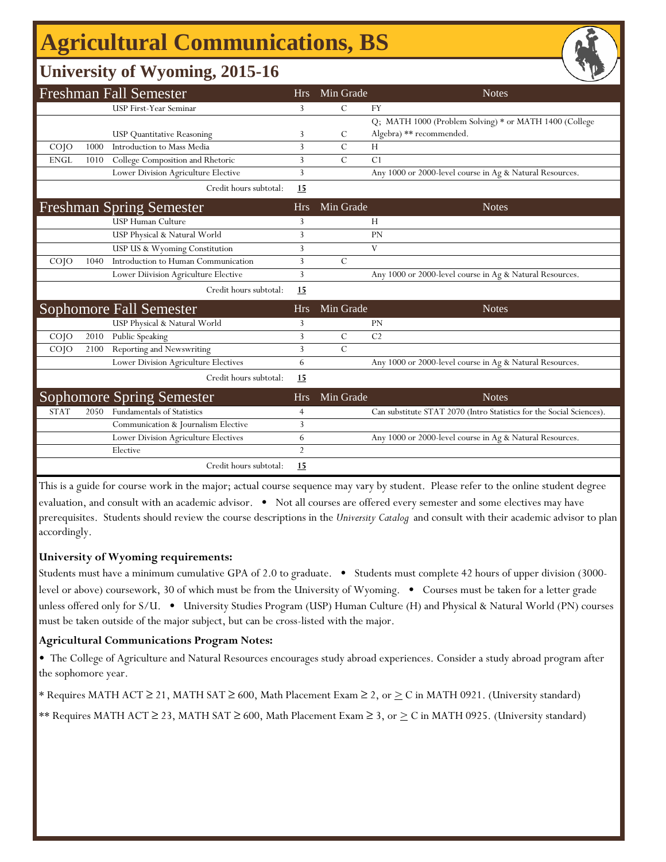## **Agricultural Communications, BS**

### **University of Wyoming, 2015-16**

|                   |      | <b>Freshman Fall Semester</b>        | <b>Hrs</b>     | Min Grade     | <b>Notes</b>                                                         |
|-------------------|------|--------------------------------------|----------------|---------------|----------------------------------------------------------------------|
|                   |      | USP First-Year Seminar               | 3              | $\mathcal{C}$ | <b>FY</b>                                                            |
|                   |      |                                      |                |               | Q; MATH 1000 (Problem Solving) * or MATH 1400 (College               |
|                   |      | <b>USP</b> Quantitative Reasoning    | 3              | C             | Algebra) ** recommended.                                             |
| CO <sub>1</sub> O | 1000 | Introduction to Mass Media           | 3              | $\mathcal{C}$ | H                                                                    |
| <b>ENGL</b>       | 1010 | College Composition and Rhetoric     | 3              | $\mathcal{C}$ | C <sub>1</sub>                                                       |
|                   |      | Lower Division Agriculture Elective  | 3              |               | Any 1000 or 2000-level course in Ag & Natural Resources.             |
|                   |      | Credit hours subtotal:               | 15             |               |                                                                      |
|                   |      | <b>Freshman Spring Semester</b>      | <b>Hrs</b>     | Min Grade     | <b>Notes</b>                                                         |
|                   |      | <b>USP Human Culture</b>             | 3              |               | H                                                                    |
|                   |      | USP Physical & Natural World         | 3              |               | PN                                                                   |
|                   |      | USP US & Wyoming Constitution        | 3              |               | V                                                                    |
| CO <sub>1</sub> O | 1040 | Introduction to Human Communication  | 3              | $\mathcal{C}$ |                                                                      |
|                   |      | Lower Diivision Agriculture Elective | 3              |               | Any 1000 or 2000-level course in Ag & Natural Resources.             |
|                   |      | Credit hours subtotal:               | 15             |               |                                                                      |
|                   |      | <b>Sophomore Fall Semester</b>       | <b>Hrs</b>     | Min Grade     | <b>Notes</b>                                                         |
|                   |      | USP Physical & Natural World         | 3              |               | <b>PN</b>                                                            |
| CO <sub>1</sub>   | 2010 | <b>Public Speaking</b>               | 3              | $\mathcal{C}$ | C <sub>2</sub>                                                       |
| $CO$ $JO$         | 2100 | Reporting and Newswriting            | 3              | $\mathcal{C}$ |                                                                      |
|                   |      | Lower Division Agriculture Electives | 6              |               | Any 1000 or 2000-level course in Ag & Natural Resources.             |
|                   |      | Credit hours subtotal:               | 15             |               |                                                                      |
|                   |      | <b>Sophomore Spring Semester</b>     | <b>Hrs</b>     | Min Grade     | <b>Notes</b>                                                         |
| <b>STAT</b>       | 2050 | <b>Fundamentals of Statistics</b>    | $\overline{4}$ |               | Can substitute STAT 2070 (Intro Statistics for the Social Sciences). |
|                   |      | Communication & Journalism Elective  | 3              |               |                                                                      |
|                   |      | Lower Division Agriculture Electives | 6              |               | Any 1000 or 2000-level course in Ag & Natural Resources.             |
|                   |      | Elective                             | $\overline{2}$ |               |                                                                      |
|                   |      | Credit hours subtotal:               | 15             |               |                                                                      |

This is a guide for course work in the major; actual course sequence may vary by student. Please refer to the online student degree evaluation, and consult with an academic advisor. • Not all courses are offered every semester and some electives may have prerequisites. Students should review the course descriptions in the *University Catalog* and consult with their academic advisor to plan accordingly.

#### **University of Wyoming requirements:**

Students must have a minimum cumulative GPA of 2.0 to graduate. • Students must complete 42 hours of upper division (3000level or above) coursework, 30 of which must be from the University of Wyoming. • Courses must be taken for a letter grade unless offered only for S/U. • University Studies Program (USP) Human Culture (H) and Physical & Natural World (PN) courses must be taken outside of the major subject, but can be cross-listed with the major.

#### **Agricultural Communications Program Notes:**

• The College of Agriculture and Natural Resources encourages study abroad experiences. Consider a study abroad program after the sophomore year.

\* Requires MATH ACT ≥ 21, MATH SAT ≥ 600, Math Placement Exam ≥ 2, or ≥ C in MATH 0921. (University standard)

\*\* Requires MATH ACT ≥ 23, MATH SAT ≥ 600, Math Placement Exam ≥ 3, or  $\geq C$  in MATH 0925. (University standard)